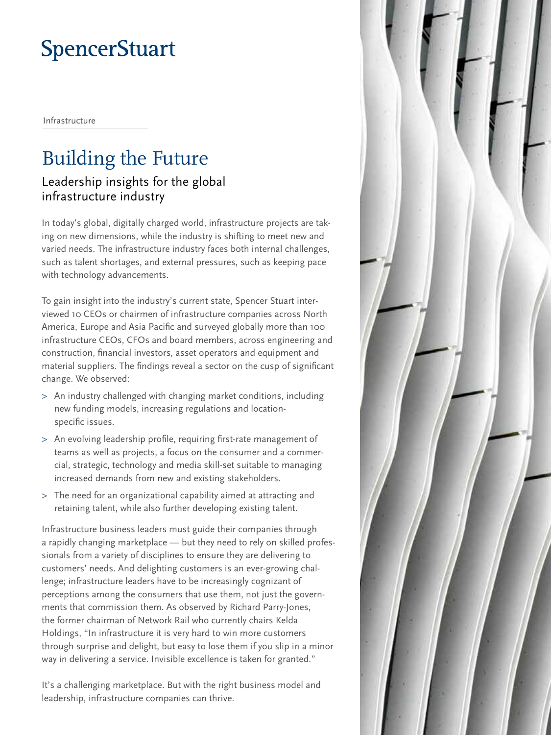# **SpencerStuart**

Infrastructure

# Building the Future

## Leadership insights for the global infrastructure industry

In today's global, digitally charged world, infrastructure projects are taking on new dimensions, while the industry is shifting to meet new and varied needs. The infrastructure industry faces both internal challenges, such as talent shortages, and external pressures, such as keeping pace with technology advancements.

To gain insight into the industry's current state, Spencer Stuart interviewed 10 CEOs or chairmen of infrastructure companies across North America, Europe and Asia Pacific and surveyed globally more than 100 infrastructure CEOs, CFOs and board members, across engineering and construction, financial investors, asset operators and equipment and material suppliers. The findings reveal a sector on the cusp of significant change. We observed:

- > An industry challenged with changing market conditions, including new funding models, increasing regulations and locationspecific issues.
- > An evolving leadership profile, requiring first-rate management of teams as well as projects, a focus on the consumer and a commercial, strategic, technology and media skill-set suitable to managing increased demands from new and existing stakeholders.
- > The need for an organizational capability aimed at attracting and retaining talent, while also further developing existing talent.

Infrastructure business leaders must guide their companies through a rapidly changing marketplace — but they need to rely on skilled professionals from a variety of disciplines to ensure they are delivering to customers' needs. And delighting customers is an ever-growing challenge; infrastructure leaders have to be increasingly cognizant of perceptions among the consumers that use them, not just the governments that commission them. As observed by Richard Parry-Jones, the former chairman of Network Rail who currently chairs Kelda Holdings, "In infrastructure it is very hard to win more customers through surprise and delight, but easy to lose them if you slip in a minor way in delivering a service. Invisible excellence is taken for granted."

It's a challenging marketplace. But with the right business model and leadership, infrastructure companies can thrive.

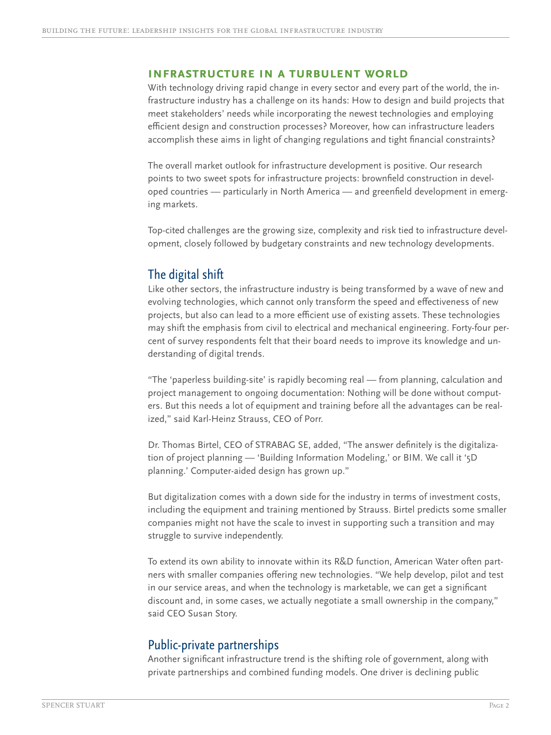#### **Infrastructure in a turbulent world**

With technology driving rapid change in every sector and every part of the world, the infrastructure industry has a challenge on its hands: How to design and build projects that meet stakeholders' needs while incorporating the newest technologies and employing efficient design and construction processes? Moreover, how can infrastructure leaders accomplish these aims in light of changing regulations and tight financial constraints?

The overall market outlook for infrastructure development is positive. Our research points to two sweet spots for infrastructure projects: brownfield construction in developed countries — particularly in North America — and greenfield development in emerging markets.

Top-cited challenges are the growing size, complexity and risk tied to infrastructure development, closely followed by budgetary constraints and new technology developments.

## The digital shift

Like other sectors, the infrastructure industry is being transformed by a wave of new and evolving technologies, which cannot only transform the speed and effectiveness of new projects, but also can lead to a more efficient use of existing assets. These technologies may shift the emphasis from civil to electrical and mechanical engineering. Forty-four percent of survey respondents felt that their board needs to improve its knowledge and understanding of digital trends.

"The 'paperless building-site' is rapidly becoming real — from planning, calculation and project management to ongoing documentation: Nothing will be done without computers. But this needs a lot of equipment and training before all the advantages can be realized," said Karl-Heinz Strauss, CEO of Porr.

Dr. Thomas Birtel, CEO of STRABAG SE, added, "The answer definitely is the digitalization of project planning — 'Building Information Modeling,' or BIM. We call it '5D planning.' Computer-aided design has grown up."

But digitalization comes with a down side for the industry in terms of investment costs, including the equipment and training mentioned by Strauss. Birtel predicts some smaller companies might not have the scale to invest in supporting such a transition and may struggle to survive independently.

To extend its own ability to innovate within its R&D function, American Water often partners with smaller companies offering new technologies. "We help develop, pilot and test in our service areas, and when the technology is marketable, we can get a significant discount and, in some cases, we actually negotiate a small ownership in the company," said CEO Susan Story.

## Public-private partnerships

Another significant infrastructure trend is the shifting role of government, along with private partnerships and combined funding models. One driver is declining public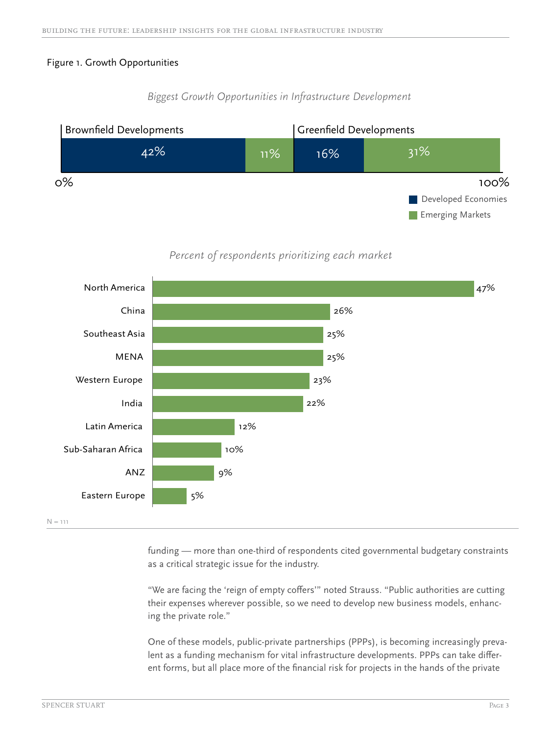#### Figure 1. Growth Opportunities

## Brownfield Developments Greenfield Developments 42% 11% 16% 31% **Emerging Markets** Developed Economies 0% 100%

## *Biggest Growth Opportunities in Infrastructure Development*

*Percent of respondents prioritizing each market*



funding — more than one-third of respondents cited governmental budgetary constraints as a critical strategic issue for the industry.

"We are facing the 'reign of empty coffers'" noted Strauss. "Public authorities are cutting their expenses wherever possible, so we need to develop new business models, enhancing the private role."

One of these models, public-private partnerships (PPPs), is becoming increasingly prevalent as a funding mechanism for vital infrastructure developments. PPPs can take different forms, but all place more of the financial risk for projects in the hands of the private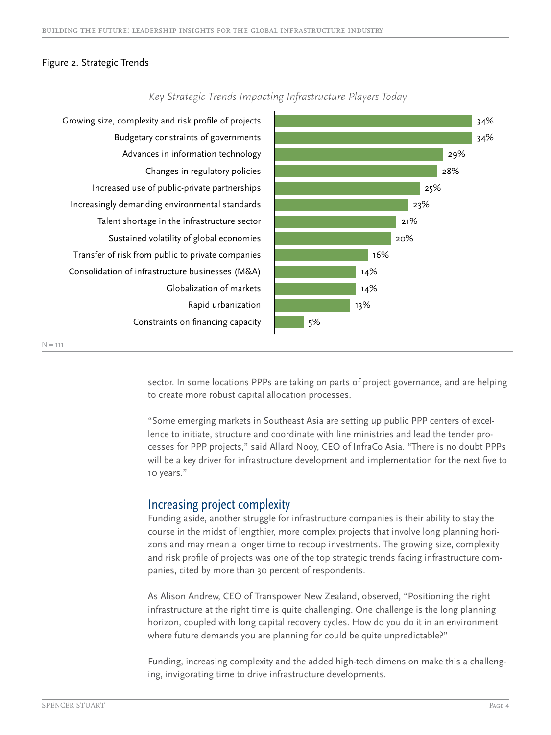#### Figure 2. Strategic Trends



*Key Strategic Trends Impacting Infrastructure Players Today* 

sector. In some locations PPPs are taking on parts of project governance, and are helping to create more robust capital allocation processes.

"Some emerging markets in Southeast Asia are setting up public PPP centers of excellence to initiate, structure and coordinate with line ministries and lead the tender processes for PPP projects," said Allard Nooy, CEO of InfraCo Asia. "There is no doubt PPPs will be a key driver for infrastructure development and implementation for the next five to 10 years."

## Increasing project complexity

Funding aside, another struggle for infrastructure companies is their ability to stay the course in the midst of lengthier, more complex projects that involve long planning horizons and may mean a longer time to recoup investments. The growing size, complexity and risk profile of projects was one of the top strategic trends facing infrastructure companies, cited by more than 30 percent of respondents.

As Alison Andrew, CEO of Transpower New Zealand, observed, "Positioning the right infrastructure at the right time is quite challenging. One challenge is the long planning horizon, coupled with long capital recovery cycles. How do you do it in an environment where future demands you are planning for could be quite unpredictable?"

Funding, increasing complexity and the added high-tech dimension make this a challenging, invigorating time to drive infrastructure developments.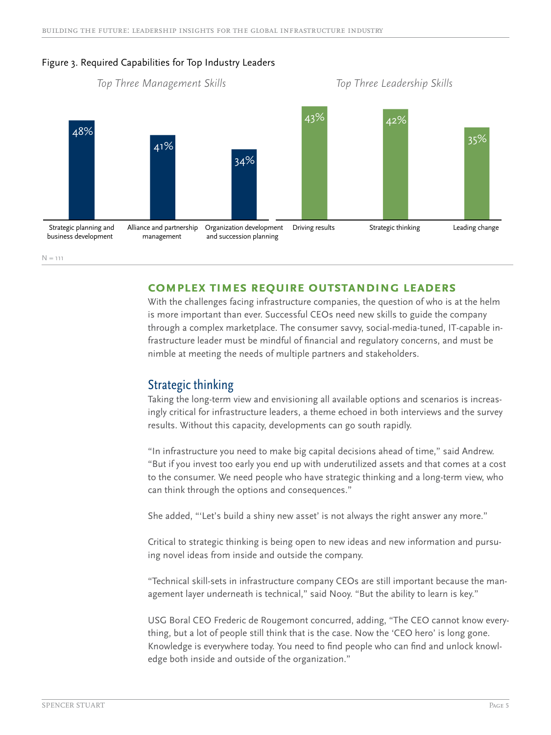

#### Figure 3. Required Capabilities for Top Industry Leaders

 $N = 111$ 

#### **Complex times require outstanding leaders**

With the challenges facing infrastructure companies, the question of who is at the helm is more important than ever. Successful CEOs need new skills to guide the company through a complex marketplace. The consumer savvy, social-media-tuned, IT-capable infrastructure leader must be mindful of financial and regulatory concerns, and must be nimble at meeting the needs of multiple partners and stakeholders.

#### Strategic thinking

Taking the long-term view and envisioning all available options and scenarios is increasingly critical for infrastructure leaders, a theme echoed in both interviews and the survey results. Without this capacity, developments can go south rapidly.

"In infrastructure you need to make big capital decisions ahead of time," said Andrew. "But if you invest too early you end up with underutilized assets and that comes at a cost to the consumer. We need people who have strategic thinking and a long-term view, who can think through the options and consequences."

She added, "'Let's build a shiny new asset' is not always the right answer any more."

Critical to strategic thinking is being open to new ideas and new information and pursuing novel ideas from inside and outside the company.

"Technical skill-sets in infrastructure company CEOs are still important because the management layer underneath is technical," said Nooy. "But the ability to learn is key."

USG Boral CEO Frederic de Rougemont concurred, adding, "The CEO cannot know everything, but a lot of people still think that is the case. Now the 'CEO hero' is long gone. Knowledge is everywhere today. You need to find people who can find and unlock knowledge both inside and outside of the organization."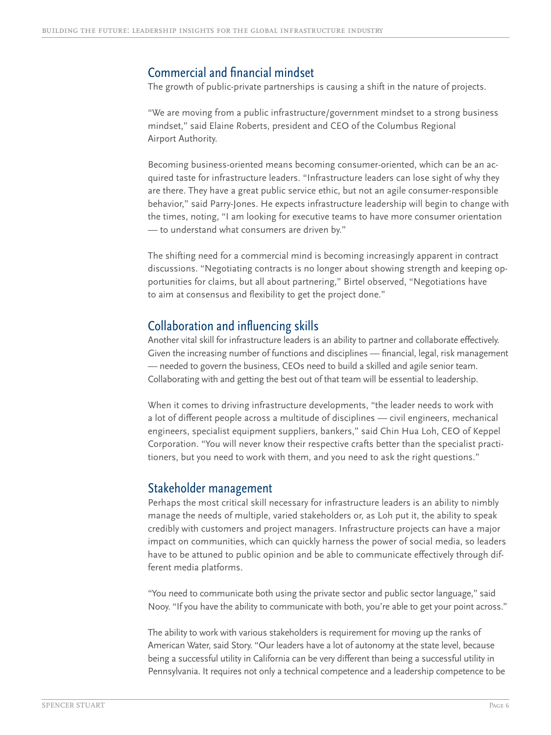## Commercial and financial mindset

The growth of public-private partnerships is causing a shift in the nature of projects.

"We are moving from a public infrastructure/government mindset to a strong business mindset," said Elaine Roberts, president and CEO of the Columbus Regional Airport Authority.

Becoming business-oriented means becoming consumer-oriented, which can be an acquired taste for infrastructure leaders. "Infrastructure leaders can lose sight of why they are there. They have a great public service ethic, but not an agile consumer-responsible behavior," said Parry-Jones. He expects infrastructure leadership will begin to change with the times, noting, "I am looking for executive teams to have more consumer orientation — to understand what consumers are driven by."

The shifting need for a commercial mind is becoming increasingly apparent in contract discussions. "Negotiating contracts is no longer about showing strength and keeping opportunities for claims, but all about partnering," Birtel observed, "Negotiations have to aim at consensus and flexibility to get the project done."

## Collaboration and influencing skills

Another vital skill for infrastructure leaders is an ability to partner and collaborate effectively. Given the increasing number of functions and disciplines — financial, legal, risk management — needed to govern the business, CEOs need to build a skilled and agile senior team. Collaborating with and getting the best out of that team will be essential to leadership.

When it comes to driving infrastructure developments, "the leader needs to work with a lot of different people across a multitude of disciplines — civil engineers, mechanical engineers, specialist equipment suppliers, bankers," said Chin Hua Loh, CEO of Keppel Corporation. "You will never know their respective crafts better than the specialist practitioners, but you need to work with them, and you need to ask the right questions."

#### Stakeholder management

Perhaps the most critical skill necessary for infrastructure leaders is an ability to nimbly manage the needs of multiple, varied stakeholders or, as Loh put it, the ability to speak credibly with customers and project managers. Infrastructure projects can have a major impact on communities, which can quickly harness the power of social media, so leaders have to be attuned to public opinion and be able to communicate effectively through different media platforms.

"You need to communicate both using the private sector and public sector language," said Nooy. "If you have the ability to communicate with both, you're able to get your point across."

The ability to work with various stakeholders is requirement for moving up the ranks of American Water, said Story. "Our leaders have a lot of autonomy at the state level, because being a successful utility in California can be very different than being a successful utility in Pennsylvania. It requires not only a technical competence and a leadership competence to be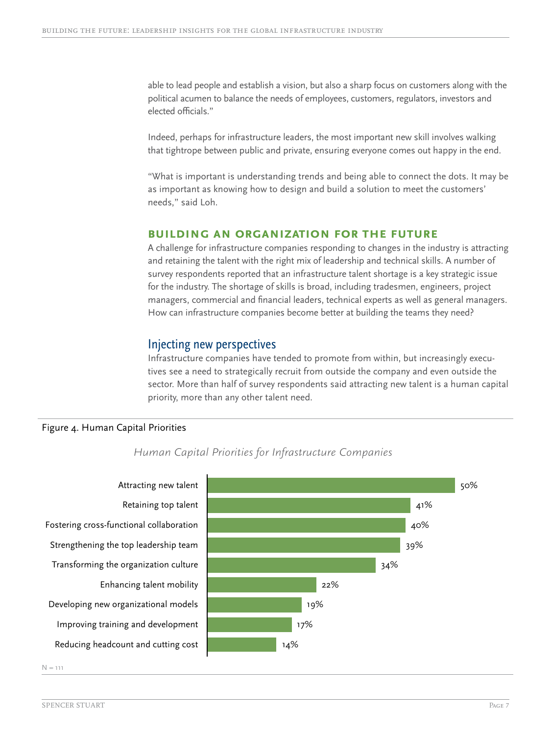able to lead people and establish a vision, but also a sharp focus on customers along with the political acumen to balance the needs of employees, customers, regulators, investors and elected officials."

Indeed, perhaps for infrastructure leaders, the most important new skill involves walking that tightrope between public and private, ensuring everyone comes out happy in the end.

"What is important is understanding trends and being able to connect the dots. It may be as important as knowing how to design and build a solution to meet the customers' needs," said Loh.

#### **Building an organization for the future**

A challenge for infrastructure companies responding to changes in the industry is attracting and retaining the talent with the right mix of leadership and technical skills. A number of survey respondents reported that an infrastructure talent shortage is a key strategic issue for the industry. The shortage of skills is broad, including tradesmen, engineers, project managers, commercial and financial leaders, technical experts as well as general managers. How can infrastructure companies become better at building the teams they need?

#### Injecting new perspectives

Infrastructure companies have tended to promote from within, but increasingly executives see a need to strategically recruit from outside the company and even outside the sector. More than half of survey respondents said attracting new talent is a human capital priority, more than any other talent need.

#### Figure 4. Human Capital Priorities



 *Human Capital Priorities for Infrastructure Companies*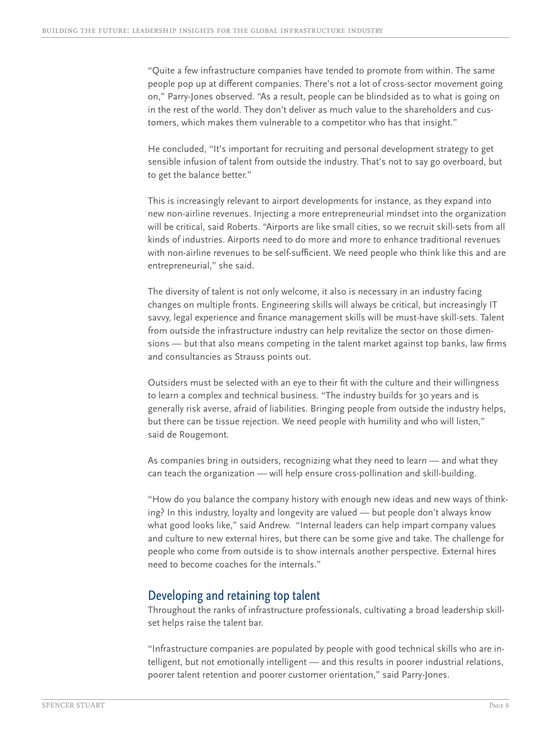"Quite a few infrastructure companies have tended to promote from within. The same people pop up at different companies. There's not a lot of cross-sector movement going on," Parry-Jones observed. "As a result, people can be blindsided as to what is going on in the rest of the world. They don't deliver as much value to the shareholders and customers, which makes them vulnerable to a competitor who has that insight."

He concluded, "It's important for recruiting and personal development strategy to get sensible infusion of talent from outside the industry. That's not to say go overboard, but to get the balance better."

This is increasingly relevant to airport developments for instance, as they expand into new non-airline revenues. Injecting a more entrepreneurial mindset into the organization will be critical, said Roberts. "Airports are like small cities, so we recruit skill-sets from all kinds of industries. Airports need to do more and more to enhance traditional revenues with non-airline revenues to be self-sufficient. We need people who think like this and are entrepreneurial," she said.

The diversity of talent is not only welcome, it also is necessary in an industry facing changes on multiple fronts. Engineering skills will always be critical, but increasingly IT savvy, legal experience and finance management skills will be must-have skill-sets. Talent from outside the infrastructure industry can help revitalize the sector on those dimensions — but that also means competing in the talent market against top banks, law firms and consultancies as Strauss points out.

Outsiders must be selected with an eye to their fit with the culture and their willingness to learn a complex and technical business. "The industry builds for 30 years and is generally risk averse, afraid of liabilities. Bringing people from outside the industry helps, but there can be tissue rejection. We need people with humility and who will listen," said de Rougemont.

As companies bring in outsiders, recognizing what they need to learn — and what they can teach the organization — will help ensure cross-pollination and skill-building.

"How do you balance the company history with enough new ideas and new ways of thinking? In this industry, loyalty and longevity are valued — but people don't always know what good looks like," said Andrew. "Internal leaders can help impart company values and culture to new external hires, but there can be some give and take. The challenge for people who come from outside is to show internals another perspective. External hires need to become coaches for the internals."

## Developing and retaining top talent

Throughout the ranks of infrastructure professionals, cultivating a broad leadership skillset helps raise the talent bar.

"Infrastructure companies are populated by people with good technical skills who are intelligent, but not emotionally intelligent — and this results in poorer industrial relations, poorer talent retention and poorer customer orientation," said Parry-Jones.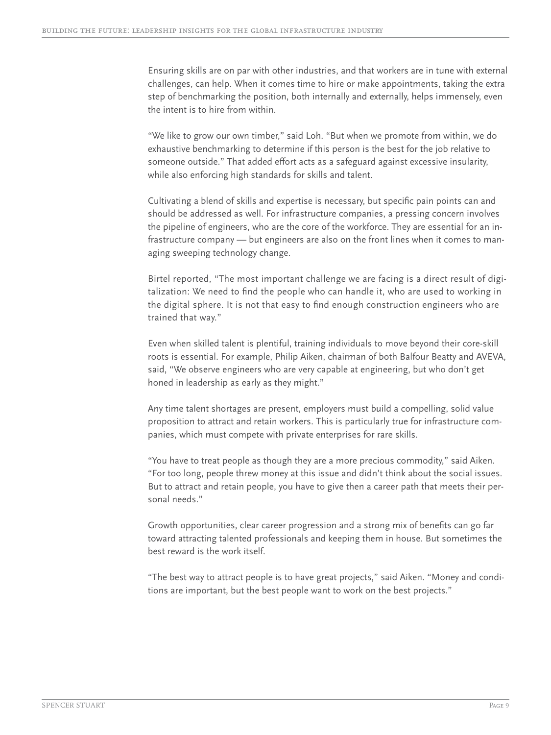Ensuring skills are on par with other industries, and that workers are in tune with external challenges, can help. When it comes time to hire or make appointments, taking the extra step of benchmarking the position, both internally and externally, helps immensely, even the intent is to hire from within.

"We like to grow our own timber," said Loh. "But when we promote from within, we do exhaustive benchmarking to determine if this person is the best for the job relative to someone outside." That added effort acts as a safeguard against excessive insularity, while also enforcing high standards for skills and talent.

Cultivating a blend of skills and expertise is necessary, but specific pain points can and should be addressed as well. For infrastructure companies, a pressing concern involves the pipeline of engineers, who are the core of the workforce. They are essential for an infrastructure company — but engineers are also on the front lines when it comes to managing sweeping technology change.

Birtel reported, "The most important challenge we are facing is a direct result of digitalization: We need to find the people who can handle it, who are used to working in the digital sphere. It is not that easy to find enough construction engineers who are trained that way."

Even when skilled talent is plentiful, training individuals to move beyond their core-skill roots is essential. For example, Philip Aiken, chairman of both Balfour Beatty and AVEVA, said, "We observe engineers who are very capable at engineering, but who don't get honed in leadership as early as they might."

Any time talent shortages are present, employers must build a compelling, solid value proposition to attract and retain workers. This is particularly true for infrastructure companies, which must compete with private enterprises for rare skills.

"You have to treat people as though they are a more precious commodity," said Aiken. "For too long, people threw money at this issue and didn't think about the social issues. But to attract and retain people, you have to give then a career path that meets their personal needs."

Growth opportunities, clear career progression and a strong mix of benefits can go far toward attracting talented professionals and keeping them in house. But sometimes the best reward is the work itself.

"The best way to attract people is to have great projects," said Aiken. "Money and conditions are important, but the best people want to work on the best projects."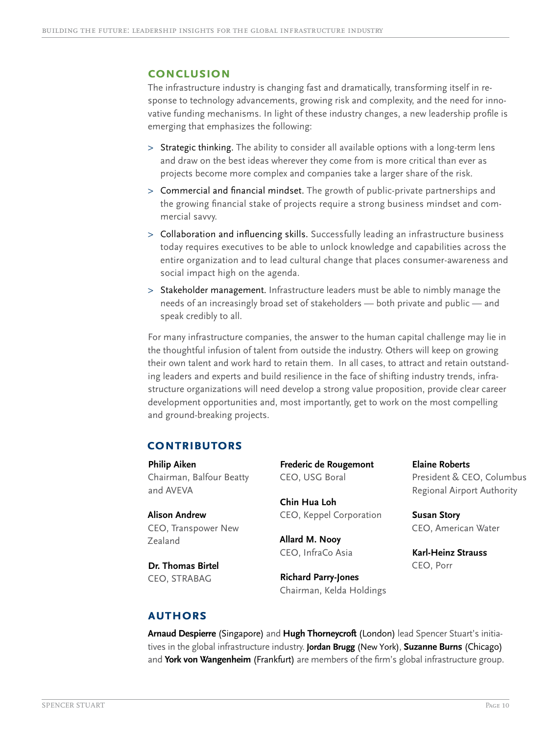#### **Conclusion**

The infrastructure industry is changing fast and dramatically, transforming itself in response to technology advancements, growing risk and complexity, and the need for innovative funding mechanisms. In light of these industry changes, a new leadership profile is emerging that emphasizes the following:

- > Strategic thinking. The ability to consider all available options with a long-term lens and draw on the best ideas wherever they come from is more critical than ever as projects become more complex and companies take a larger share of the risk.
- > Commercial and financial mindset. The growth of public-private partnerships and the growing financial stake of projects require a strong business mindset and commercial savvy.
- > Collaboration and influencing skills. Successfully leading an infrastructure business today requires executives to be able to unlock knowledge and capabilities across the entire organization and to lead cultural change that places consumer-awareness and social impact high on the agenda.
- > Stakeholder management. Infrastructure leaders must be able to nimbly manage the needs of an increasingly broad set of stakeholders — both private and public — and speak credibly to all.

For many infrastructure companies, the answer to the human capital challenge may lie in the thoughtful infusion of talent from outside the industry. Others will keep on growing their own talent and work hard to retain them. In all cases, to attract and retain outstanding leaders and experts and build resilience in the face of shifting industry trends, infrastructure organizations will need develop a strong value proposition, provide clear career development opportunities and, most importantly, get to work on the most compelling and ground-breaking projects.

## **Contributors**

**Philip Aiken** Chairman, Balfour Beatty and AVEVA

**Alison Andrew** CEO, Transpower New Zealand

**Dr. Thomas Birtel** CEO, STRABAG

**Frederic de Rougemont** CEO, USG Boral

**Chin Hua Loh** CEO, Keppel Corporation

**Allard M. Nooy** CEO, InfraCo Asia

**Richard Parry-Jones** Chairman, Kelda Holdings **Elaine Roberts** President & CEO, Columbus Regional Airport Authority

**Susan Story** CEO, American Water

**Karl-Heinz Strauss** CEO, Porr

## **Authors**

**Arnaud Despierre** (Singapore) and **Hugh Thorneycroft** (London) lead Spencer Stuart's initiatives in the global infrastructure industry. **Jordan Brugg** (New York), **Suzanne Burns** (Chicago) and **York von Wangenheim** (Frankfurt) are members of the firm's global infrastructure group.